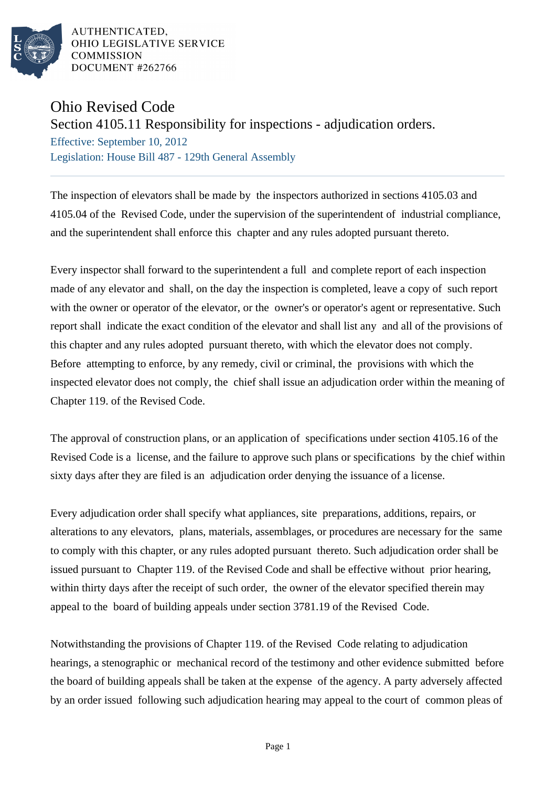

AUTHENTICATED, OHIO LEGISLATIVE SERVICE **COMMISSION** DOCUMENT #262766

## Ohio Revised Code

## Section 4105.11 Responsibility for inspections - adjudication orders.

Effective: September 10, 2012 Legislation: House Bill 487 - 129th General Assembly

The inspection of elevators shall be made by the inspectors authorized in sections 4105.03 and 4105.04 of the Revised Code, under the supervision of the superintendent of industrial compliance, and the superintendent shall enforce this chapter and any rules adopted pursuant thereto.

Every inspector shall forward to the superintendent a full and complete report of each inspection made of any elevator and shall, on the day the inspection is completed, leave a copy of such report with the owner or operator of the elevator, or the owner's or operator's agent or representative. Such report shall indicate the exact condition of the elevator and shall list any and all of the provisions of this chapter and any rules adopted pursuant thereto, with which the elevator does not comply. Before attempting to enforce, by any remedy, civil or criminal, the provisions with which the inspected elevator does not comply, the chief shall issue an adjudication order within the meaning of Chapter 119. of the Revised Code.

The approval of construction plans, or an application of specifications under section 4105.16 of the Revised Code is a license, and the failure to approve such plans or specifications by the chief within sixty days after they are filed is an adjudication order denying the issuance of a license.

Every adjudication order shall specify what appliances, site preparations, additions, repairs, or alterations to any elevators, plans, materials, assemblages, or procedures are necessary for the same to comply with this chapter, or any rules adopted pursuant thereto. Such adjudication order shall be issued pursuant to Chapter 119. of the Revised Code and shall be effective without prior hearing, within thirty days after the receipt of such order, the owner of the elevator specified therein may appeal to the board of building appeals under section 3781.19 of the Revised Code.

Notwithstanding the provisions of Chapter 119. of the Revised Code relating to adjudication hearings, a stenographic or mechanical record of the testimony and other evidence submitted before the board of building appeals shall be taken at the expense of the agency. A party adversely affected by an order issued following such adjudication hearing may appeal to the court of common pleas of